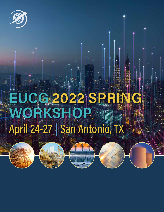

# DG 2022 RKSHO April 24-27 | San Antonio,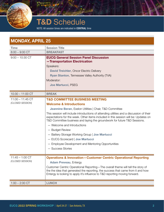

# T&D Schedule

NOTE: All session times are indicated in CENTRAL time

| <b>MONDAY, APRIL 25</b>                |                                                                                                                                                                                                                                                                                                                                                                                                                                                                                                                                                                                                                              |
|----------------------------------------|------------------------------------------------------------------------------------------------------------------------------------------------------------------------------------------------------------------------------------------------------------------------------------------------------------------------------------------------------------------------------------------------------------------------------------------------------------------------------------------------------------------------------------------------------------------------------------------------------------------------------|
| <b>Time</b>                            | <b>Session Title</b>                                                                                                                                                                                                                                                                                                                                                                                                                                                                                                                                                                                                         |
| $8:00 - 9:00$ CT                       | <b>BREAKFAST</b>                                                                                                                                                                                                                                                                                                                                                                                                                                                                                                                                                                                                             |
| $9:00 - 10:30$ CT                      | <b>EUCG General Session Panel Discussion</b><br>-Transportation Electrication<br>Speakers:<br><b>David Treichler, Oncor Electric Delivery</b><br><b>Ryan Stanton, Tennessee Valley Authority (TVA)</b><br>Moderator:<br>Joe Martucci, PSEG                                                                                                                                                                                                                                                                                                                                                                                   |
| $10:30 - 11:00$ CT                     | <b>BREAK</b>                                                                                                                                                                                                                                                                                                                                                                                                                                                                                                                                                                                                                 |
| $11:00 - 11:45$ CT<br>(CLOSED SESSION) | <b>T&amp;D COMMITTEE BUSINESS MEETING</b><br><b>Welcome &amp; Introductions</b><br>Jeannine Beran, Exelon Utilities   Chair, T&D Committee<br>This session will include introductions of attending utilities and a discussion of their<br>expectations for the week. Other items included in this session will be: Updates on<br>T&D Committee business and laying the groundwork for future T&D Sessions.<br>- Welcome and Introductions<br>- Budget Review<br>- Battery Storage Working Group   Joe Martucci<br>- EUCG Scorecard   Joe Martucci<br>- Employee Development and Mentoring Opportunities<br>- Success Stories |
| $11:45 - 1:00$ CT<br>(CLOSED SESSION)  | <b>Operations &amp; Innovation-Customer Centric Operational Reporting</b><br><b>Adam Preveau, Entergy</b><br>Customer Centric Operational Reporting—The overall theme will tell the story of<br>the the idea that generated the reporting, the success that came from it and how<br>Entergy is looking to apply it's influence to T&D reporting moving forward.                                                                                                                                                                                                                                                              |
| $1:00 - 2:00$ CT                       | <b>LUNCH</b>                                                                                                                                                                                                                                                                                                                                                                                                                                                                                                                                                                                                                 |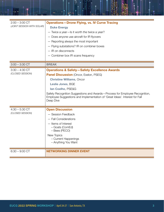| $2:00 - 3:00$ CT           | <b>Operations-Drone Flying, vs. IV Curve Tracing</b>                                     |
|----------------------------|------------------------------------------------------------------------------------------|
| (JOINT SESSION WITH SOLAR) | <b>Duke Energy</b>                                                                       |
|                            | - Twice a year-Is it worth the twice a year?                                             |
|                            | - Does anyone use aircraft for IR flyovers                                               |
|                            | - Reporting always the most important                                                    |
|                            | - Flying substations? IR on combiner boxes                                               |
|                            | - IR on disconnects                                                                      |
|                            | - Combiner box IR scans frequency                                                        |
|                            |                                                                                          |
| $3:00 - 3:30$ CT           | <b>BREAK</b>                                                                             |
| $3:30 - 4:30$ CT           | <b>Operations &amp; Safety-Safety Excellence Awards</b>                                  |
| (CLOSED SESSION)           | Panel Discussion (Oncor, Exelon, PSEG)                                                   |
|                            | <b>Christine Williams, Oncor</b>                                                         |
|                            | <b>Leslie Jones, BGE</b>                                                                 |
|                            | lan Coelho, PSE&G                                                                        |
|                            | Safety Recognition Suggestions and Awards-Process for Employee Recognition,              |
|                            | Employee Suggestions and Implementation of 'Great Ideas'. Interest for Fall<br>Deep Dive |
|                            |                                                                                          |
| $4:30 - 5:30$ CT           | <b>Open Discussion</b>                                                                   |
| (CLOSED SESSION)           | - Session Feedback                                                                       |
|                            | - Fall Considerations                                                                    |
|                            | - Items of Interest                                                                      |
|                            | - Goats (ComEd)                                                                          |
|                            | - Bees (PECO)                                                                            |
|                            | New Topics<br>- Current Happenings                                                       |
|                            | - Anything You Want                                                                      |
|                            |                                                                                          |
| $6:30 - 9:00$ CT           | <b>NETWORKING DINNER EVENT</b>                                                           |
|                            |                                                                                          |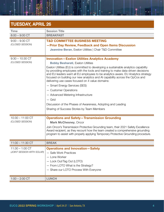### TUESDAY, APRIL 26

| <b>Time</b>                                     | <b>Session Title</b>                                                                                                                                                                                                                                                                                                                                                                                                                                                                                                                                                                                                                                                                                                          |
|-------------------------------------------------|-------------------------------------------------------------------------------------------------------------------------------------------------------------------------------------------------------------------------------------------------------------------------------------------------------------------------------------------------------------------------------------------------------------------------------------------------------------------------------------------------------------------------------------------------------------------------------------------------------------------------------------------------------------------------------------------------------------------------------|
| $8:00 - 9:00$ CT                                | <b>BREAKFAST</b>                                                                                                                                                                                                                                                                                                                                                                                                                                                                                                                                                                                                                                                                                                              |
| $9:00 - 9:30$ CT<br>(CLOSED SESSION)            | <b>T&amp;D COMMITTEE BUSINESS MEETING</b><br>-Prior Day Review, Feedback and Open Items Discussion<br><b>Jeannine Beran, Exelon Utilities   Chair T&amp;D Committee</b>                                                                                                                                                                                                                                                                                                                                                                                                                                                                                                                                                       |
| $9:30 - 10:30$ CT<br>(CLOSED SESSION)           | <b>Innovation-Exelon Utilities Analytics Academy</b><br><b>Bobby Besharati, Exelon Utilities</b><br>Exelon Utilities (EU) is committed to developing a sustainable analytics capability<br>by providing employees with the tools and training to make data-driven decisions<br>and EU leaders want all EU employees to be analytics aware. EU Analytics strategy<br>focused on building our new analytics and AI capability across the OpCos and<br>delivering use cases focused on 4 value domains:<br>- Smart Energy Services (SES)<br>- Customer Operations<br>- Advanced Metering Infrastructure<br>$-$ Grid<br>Discussion of the Phases of Awareness, Adopting and Leading<br>Sharing of Success Stories by Team Members |
| $10:30 - 11:00$ CT<br>(CLOSED SESSION)          | <b>Operations and Safety-Transmission Grounding</b><br><b>Mark McChesney, Oncor</b><br>Join Oncor's Transmission Protective Grounding team, their 2021 Safety Excellence<br>Award recipient, as they recount how the team created a comprehensive grounding<br>program to assist with properly applying Temporary Protective Grounding procedure.                                                                                                                                                                                                                                                                                                                                                                             |
| $11:00 - 11:30$ CT                              | <b>BREAK</b>                                                                                                                                                                                                                                                                                                                                                                                                                                                                                                                                                                                                                                                                                                                  |
| $11:30 - 1:00$ CT<br>(JOINT SESSION WITH SOLAR) | <b>Operations and Innovation-Safety</b><br>- Safe Work Practices<br>- Lone Worker<br>- Lock Out/Tag Out (LOTO)<br>- From LOTO What is the Strategy?<br>- Share our LOTO Process With Everyone                                                                                                                                                                                                                                                                                                                                                                                                                                                                                                                                 |
| $1:00 - 2:00$ CT                                | <b>LUNCH</b>                                                                                                                                                                                                                                                                                                                                                                                                                                                                                                                                                                                                                                                                                                                  |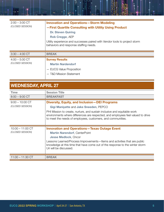| $2:00 - 3:00$ CT<br>(CLOSED SESSION) | <b>Innovation and Operations-Storm Modeling</b><br>-First Quartile Consulting with Utility Using Product<br><b>Dr. Steven Quiring</b><br>Rob Cregge, AEP<br>Utility experience and successes paired with Vendor tools to project storm<br>behaviors and response staffing needs. |
|--------------------------------------|----------------------------------------------------------------------------------------------------------------------------------------------------------------------------------------------------------------------------------------------------------------------------------|
| $3:30 - 4:00$ CT                     | <b>BREAK</b>                                                                                                                                                                                                                                                                     |
| $4:00 - 5:00$ CT<br>(CLOSED SESSION) | <b>Survey Results</b><br><b>Martin Nardendorf</b><br>- EUCG Value Proposition<br>- T&D Mission Statement                                                                                                                                                                         |

## WEDNESDAY, APRIL 27

<u>.</u>

| <b>Time</b>                            | <b>Session Title</b>                                                                                                                                                                                                                                                                                                            |
|----------------------------------------|---------------------------------------------------------------------------------------------------------------------------------------------------------------------------------------------------------------------------------------------------------------------------------------------------------------------------------|
| $8:00 - 9:00$ CT                       | <b>BREAKFAST</b>                                                                                                                                                                                                                                                                                                                |
| $9:00 - 10:00$ CT<br>(CLOSED SESSION)  | <b>Diversity, Equity, and Inclusion - DEI Programs</b><br>Gigi Maniyatte and Jake Sneeden, PEPCO<br>PHI Mission to create, nurture, and sustain inclusive and equitable work<br>environments where differences are respected, and employees feel valued to drive<br>to meet the needs of employees, customers, and communities. |
|                                        |                                                                                                                                                                                                                                                                                                                                 |
| $10:00 - 11:00$ CT<br>(CLOSED SESSION) | <b>Innovation and Operations-Texas Outage Event</b><br><b>Martin Narendorf, CenterPoint</b><br><b>Jesse Medlock, Oncor</b><br>Lessons Learned/Process Improvements-Items and activities that are public<br>knowledge at this time that have come out of the response to the winter storm<br>Uri will be discussed.              |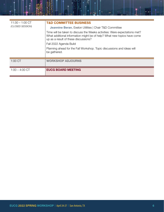| $11:30 - 1:00$ CT | <b>T&amp;D COMMITTEE BUSINESS</b>                                                                                                                                                             |
|-------------------|-----------------------------------------------------------------------------------------------------------------------------------------------------------------------------------------------|
| (CLOSED SESSION)  | Jeannine Beran, Exelon Utilities   Chair T&D Committee                                                                                                                                        |
|                   | Time will be taken to discuss the Weeks activities: Were expectations met?<br>What additional information might be of help? What new topics have come<br>up as a result of these discussions? |
|                   | Fall 2022 Agenda Build                                                                                                                                                                        |
|                   | Planning ahead for the Fall Workshop. Topic discussions and ideas will<br>be gathered.                                                                                                        |
| 1:00 CT           | <b>WORKSHOP ADJOURNS</b>                                                                                                                                                                      |
| $1:00 - 4:00$ CT  | <b>EUCG BOARD MEETING</b>                                                                                                                                                                     |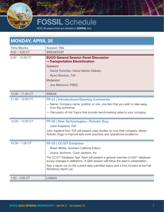

# FOSSIL Schedule

NOTE: All session times are indicated in CENTRAL time

| <b>MONDAY, APRIL 25</b> |                                                                                                                                                                    |
|-------------------------|--------------------------------------------------------------------------------------------------------------------------------------------------------------------|
| <b>Time Blocks</b>      | <b>Session Title</b>                                                                                                                                               |
| $8:00 - 9:00$ CT        | <b>BREAKFAST</b>                                                                                                                                                   |
| $9:00 - 10:30$ CT       | <b>EUCG General Session Panel Discussion</b><br>-Transportation Electrification                                                                                    |
|                         | Speakers:                                                                                                                                                          |
|                         | <b>David Treichler, Oncor Electric Delivery</b>                                                                                                                    |
|                         | <b>Ryan Stanton, TVA</b>                                                                                                                                           |
|                         | Moderator:                                                                                                                                                         |
|                         | Joe Martucci, PSEG                                                                                                                                                 |
| $10:30 - 11:00$ CT      | <b>BREAK</b>                                                                                                                                                       |
| $11:00 - 12:00$ CT      | <b>FP-01   Introductions/Opening Comments</b>                                                                                                                      |
|                         | - Name, Company name, position or role, one item that you wish to take away<br>from this workshop.                                                                 |
|                         | - Discussion of Hot Topics that provide benchmarking value to your company.                                                                                        |
| $12:00 - 12:30$ CT      | <b>FP-02   New Technologies-Robotic Dog</b>                                                                                                                        |
|                         | <b>John Kapland, TVA</b>                                                                                                                                           |
|                         | John Kapland from TVA will present case studies on how their company utilizes<br>Robotic Dogs to improve safe work practices and operational excellence.           |
| $12:30 - 1:00$ CT       | FP-03   CC/GT Database                                                                                                                                             |
|                         | Brian White, Southern Califonia Edison                                                                                                                             |
|                         | Joyce Jackson, Cook-Jackson, Inc.                                                                                                                                  |
|                         | The CC/CT Database Task Team will present a general overview of 2021 database<br>survey changes in definitions. A Q&A session will follow the team's presentation. |
|                         | Also a report out on the current data submittal status and a look forward at the Fall<br>Workshop report out.                                                      |
| $1:00 - 2:00$ CT        | <b>LUNCH</b>                                                                                                                                                       |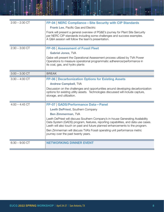| $2:00 - 2:30$ CT | FP-04   NERC Compliance-Site Security with CIP Standards                                                                                                                                                                                              |
|------------------|-------------------------------------------------------------------------------------------------------------------------------------------------------------------------------------------------------------------------------------------------------|
|                  | <b>Frank Lee, Pacific Gas and Electric</b>                                                                                                                                                                                                            |
|                  | Frank will present a general overview of PG&E's journey for Plant Site Sercurity<br>per NERC CIP standards including some challenges and success examples.<br>A Q&A session will follow the team's presentation.                                      |
| $2:30 - 3:00$ CT | FP-05   Assessment of Fossil Fleet                                                                                                                                                                                                                    |
|                  | <b>Gabriel Jones, TVA</b>                                                                                                                                                                                                                             |
|                  | Gabe will present the Operational Assessment process utilized by TVA Power<br>Operations to measure operational programmatic adherence/performance in<br>its coal, gas, and hydro plants                                                              |
| $3:00 - 3:30$ CT | <b>BREAK</b>                                                                                                                                                                                                                                          |
| $3:30 - 4:00$ CT | <b>FP-06   Decarbonization Options for Existing Assets</b>                                                                                                                                                                                            |
|                  | <b>Andrew Campbell, TVA</b>                                                                                                                                                                                                                           |
|                  | Discussion on the challenges and opportunities around developing decarbonization<br>options for existing utility assets. Technologies discussed will include capture,<br>storage, and utilization.                                                    |
| $4:00 - 4:45$ CT | FP-07   GADS/Performance Data-Panel                                                                                                                                                                                                                   |
|                  | Leeth DePriest, Southern Company                                                                                                                                                                                                                      |
|                  | <b>Ben Zimmerman, TVA</b>                                                                                                                                                                                                                             |
|                  | Leeth DePriest will discuss Southern Company's in-house Generating Availability<br>Data System (GADS) program, features, reporting capabilities, and data use cases.<br>Leeth will also touch on past and future planned enhancements to the program. |
|                  | Ben Zimmerman will discuss TVA's Fossil operating unit performance metric<br>journey over the past twenty years.                                                                                                                                      |
| $6:30 - 9:00$ CT | <b>NETWORKING DINNER EVENT</b>                                                                                                                                                                                                                        |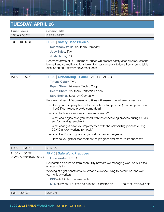### TUESDAY, APRIL 26

| <b>Time Blocks</b>         | <b>Session Title</b>                                                                                                 |
|----------------------------|----------------------------------------------------------------------------------------------------------------------|
| $8:00 - 9:00$ CT           | <b>BREAKFAST</b>                                                                                                     |
| $9:00 - 10:00$ CT          | <b>FP-08   Safety Case Studies</b>                                                                                   |
|                            | <b>Deanthony Willis, Southern Company</b>                                                                            |
|                            | <b>Joey Sales, TVA</b>                                                                                               |
|                            | <b>Josh Harris, PG&amp;E</b>                                                                                         |
|                            | Representatives of FGC member utilities will present safety case studies, lessons                                    |
|                            | learned and corrective actions taken to improve safety, followed by a round table                                    |
|                            | discussion on Safety Improvement ideas.                                                                              |
|                            |                                                                                                                      |
| $10:00 - 11:00$ CT         | FP-09   Onboarding-Panel (TVA, SCE, AECC)                                                                            |
|                            | <b>Tiffany Coker, TVA</b>                                                                                            |
|                            | <b>Bryan Sikes, Arkansas Electric Coop</b>                                                                           |
|                            | Heath Shore, Southern California Edison                                                                              |
|                            | <b>Sara Steiner, Southern Company</b>                                                                                |
|                            | Representatives of FGC member utilities will answer the following questions:                                         |
|                            | - Does your company have a formal onboarding process (bootcamp) for new<br>hires? If so, please provide some detail. |
|                            | -What tools are available for new supervisors?                                                                       |
|                            | -What challenges have you faced with the onboarding process during COVID<br>and/or working remotely?                 |
|                            | -What changes have you implemented with the onboarding process during<br>COVID and/or working remotely?              |
|                            | -What kind/type of goals do you set for new employees?                                                               |
|                            | -How do you gather feedback on the program and measure its success?                                                  |
| $11:00 - 11:30$ CT         | <b>BREAK</b>                                                                                                         |
| $11:30 - 1:00$ CT          | <b>FP-10   Safe Work Practices</b>                                                                                   |
| (JOINT SESSION WITH SOLAR) | Lone worker, LOTO                                                                                                    |
|                            | Roundtable discussion from each utlity how are we managing work on our sites,<br>energy isolation.                   |
|                            | Working at night benefits/risks? What is eveyone using to determine lone work<br>vs. multiple workers.               |
|                            | <b>PPE-ARC</b> Flash requirements.                                                                                   |
|                            | <b>DTE</b> study on ARC flash calculation - Updates on EPRI 1500v study if available.                                |
| $1:00 - 2:00$ CT           | <b>LUNCH</b>                                                                                                         |

쿆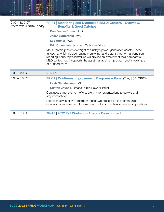| $2:00 - 3:30$ CT<br>(JOINT SESSION WITH HYDRO) | FP-11   Monitoring and Diagnostic (M&D) Centers-Overview,<br><b>Benefits &amp; Good Catches</b>                                                                                                                                                                                                                                                 |
|------------------------------------------------|-------------------------------------------------------------------------------------------------------------------------------------------------------------------------------------------------------------------------------------------------------------------------------------------------------------------------------------------------|
|                                                | Dan Foster-Roman, OPG                                                                                                                                                                                                                                                                                                                           |
|                                                | <b>Jason Satterfield, TVA</b>                                                                                                                                                                                                                                                                                                                   |
|                                                | Lee Archer, PGN                                                                                                                                                                                                                                                                                                                                 |
|                                                | Eric Chambers, Southern California Edison                                                                                                                                                                                                                                                                                                       |
|                                                | M&D Centers provide oversight of a utility's power generation assets. These<br>functions, which include routine monitoring, and potential abnormal condition<br>reporting. Utility representatives will provide an overview of their company's<br>M&D center, how it supports the asset management program and an example<br>of a "good catch". |
|                                                |                                                                                                                                                                                                                                                                                                                                                 |
| $3:30 - 4:00$ CT                               | <b>BREAK</b>                                                                                                                                                                                                                                                                                                                                    |
| $4:00 - 5:00$ CT                               | FP-12   Continous Improvement Programs-Panel (TVA, SCE, OPPD)<br>Leah Christensen, TVA                                                                                                                                                                                                                                                          |
|                                                | <b>Clinton Zavadil, Omaha Public Power District</b>                                                                                                                                                                                                                                                                                             |
|                                                | Continuous Improvement efforts are vital for organizations to survive and<br>stay competitive.                                                                                                                                                                                                                                                  |
|                                                | Representatives of FGC member utilities will present on their companies'<br>Continuous Improvement Programs and efforts to enhance business operations.                                                                                                                                                                                         |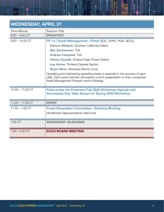## WEDNESDAY, APRIL 27

| <b>Time Blocks</b> | <b>Session Title</b>                                                                                                                                                                                            |
|--------------------|-----------------------------------------------------------------------------------------------------------------------------------------------------------------------------------------------------------------|
| $8:00 - 9:00$ CT   | <b>BREAKFAST</b>                                                                                                                                                                                                |
| $9:00 - 10:30$ CT  | FP-14   Asset Management-Panel (SCE, OPPD, PGN, AECC)                                                                                                                                                           |
|                    | Kishore Billapati, Southern California Edison                                                                                                                                                                   |
|                    | <b>Ben Zimmerman, TVA</b>                                                                                                                                                                                       |
|                    | <b>Andrew Campbell, TVA</b>                                                                                                                                                                                     |
|                    | <b>Clinton Zavadil, Omaha Public Power District</b>                                                                                                                                                             |
|                    | Lee Archer, Portland General Electric                                                                                                                                                                           |
|                    | <b>Bryan Sikes, Arkansas Electric Coop</b>                                                                                                                                                                      |
|                    | Operating and maintaining operating assets is essential to the success of each<br>utility. Each panel member will present a short presentation on their companies'<br>Asset Management Program and/or Strategy. |
| $10:30 - 11:00$ CT | Final review for Proposed Fall 2022 Workshop Agenda and<br><b>Summarize Key Take-Aways for Spring 2022 Workshop</b>                                                                                             |
| $11:00 - 11:30$ CT | <b>BREAK</b>                                                                                                                                                                                                    |
| $11:30 - 1:00$ CT  | <b>Fossil Generation Committee - Steering Meeting</b>                                                                                                                                                           |
|                    | (All Member Representatives Welcome)                                                                                                                                                                            |
|                    |                                                                                                                                                                                                                 |
| 1:00 CT            | <b>WORKSHOP ADJOURNS</b>                                                                                                                                                                                        |
| $1:00 - 4:00$ CT   | <b>EUCG BOARD MEETING</b>                                                                                                                                                                                       |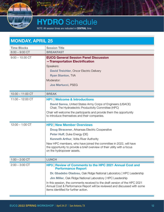

# **HYDRO** Schedule

NOTE: All session times are indicated in CENTRAL time

| <b>MONDAY, APRIL 25</b> |                                                                                                                                                                                                                                                                                                                                                                                                                                |
|-------------------------|--------------------------------------------------------------------------------------------------------------------------------------------------------------------------------------------------------------------------------------------------------------------------------------------------------------------------------------------------------------------------------------------------------------------------------|
| <b>Time Blocks</b>      | <b>Session Title</b>                                                                                                                                                                                                                                                                                                                                                                                                           |
| $8:00 - 9:00$ CT        | <b>BREAKFAST</b>                                                                                                                                                                                                                                                                                                                                                                                                               |
| $9:00 - 10:30$ CT       | <b>EUCG General Session Panel Discussion</b><br>-Transportation Electrification<br>Speakers:<br><b>David Treichler, Oncor Electric Delivery</b><br><b>Ryan Stanton, TVA</b><br>Moderator:<br>Joe Martucci, PSEG                                                                                                                                                                                                                |
| $10:30 - 11:00$ CT      | <b>BREAK</b>                                                                                                                                                                                                                                                                                                                                                                                                                   |
| $11:00 - 12:00$ CT      | <b>HP1   Welcome &amp; Introductions</b><br><b>David Sanna, United States Army Corps of Engineers (USACE)</b><br>Chair, The Hydroelectric Productivity Committee (HPC)<br>Chair will welcome the participants and provide them the opportunity<br>to introduce themselves and their companies.                                                                                                                                 |
| $12:00 - 1:00$ CT       | <b>HP2   New Member Overviews</b><br>Doug Stracener, Arkansas Electric Cooperative<br>Peter Huff, Duke Energy (DE)<br><b>Kenneth Arthur, Volta River Authority</b><br>New HPC members, who have joined the committee in 2022, will have<br>the opportunity to provide a brief overview of their utility with a focus<br>on the hydropower assets.                                                                              |
| $1:00 - 2:00$ CT        | <b>LUNCH</b>                                                                                                                                                                                                                                                                                                                                                                                                                   |
| $2:00 - 3:00$ CT        | HP3   Review of Comments to the HPC 2021 Annual Cost and<br><b>Performance Report</b><br>Dr. Gbadebo Oladosu, Oak Ridge National Laboratory   HPC Leadership<br>Jim Miller, Oak Ridge National Laboratory   HPC Leadership<br>In this session, the comments received to the draft version of the HPC 2021<br>Annual Cost & Performance Report will be reviewed and discussed with some<br>items identified for further action. |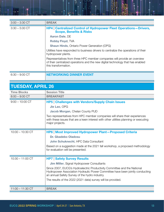| $3:00 - 3:30$ CT | <b>BREAK</b>                                                                                                                                                                        |
|------------------|-------------------------------------------------------------------------------------------------------------------------------------------------------------------------------------|
| $3:30 - 5:00$ CT | <b>HP4   Centralized Control of Hydropower Fleet Operations - Drivers,</b><br><b>Scope, Benefits &amp; Risks</b>                                                                    |
|                  | <b>Aaron Dale, DE</b>                                                                                                                                                               |
|                  | <b>Robby Floyd, TVA</b>                                                                                                                                                             |
|                  | <b>Shaun Hinds, Ontario Power Generation (OPG)</b>                                                                                                                                  |
|                  | Utilities have responded to business drivers to centralize the operations of their<br>hydropower plants.                                                                            |
|                  | Representatives from three HPC member companies will provide an overview<br>of their centralized operations and the new digital technology that has enabled<br>this transformation. |
| $6:30 - 9:00$ CT | IG DINNER                                                                                                                                                                           |

| <b>TUESDAY, APRIL 26</b> |                                                                                                                                                                                                             |  |
|--------------------------|-------------------------------------------------------------------------------------------------------------------------------------------------------------------------------------------------------------|--|
| <b>Time Blocks</b>       | <b>Session Title</b>                                                                                                                                                                                        |  |
| $8:00 - 9:00$ CT         | <b>BREAKFAST</b>                                                                                                                                                                                            |  |
| $9:00 - 10:00$ CT        | <b>HP5   Challenges with Vendors/Supply Chain Issues</b><br>Jie Lao, OPG                                                                                                                                    |  |
|                          | Jacob Morgan, Chelan County PUD                                                                                                                                                                             |  |
|                          | Two representatives from HPC member companies will share their experiences<br>with these issues that are a keen interest with other utilities planning or executing<br>major projects.                      |  |
| $10:00 - 10:30$ CT       | <b>HP6   Most Improved Hydropower Plant-Proposed Criteria</b><br>Dr. Gbadebo Oladosu                                                                                                                        |  |
|                          | John Schuknecht, HPC Data Consultant                                                                                                                                                                        |  |
|                          | Based on a suggestion made at the 2021 fall workshop, a proposed methodology<br>for evaluation will be presented.                                                                                           |  |
| $10:30 - 11:00$ CT       | <b>HP7   Safety Survey Results</b>                                                                                                                                                                          |  |
|                          | <b>Jim Miller, Signal Hydropower Consultants</b>                                                                                                                                                            |  |
|                          | Since 2007, EUCG's Hydroelectric Productivity Committee and the National<br>Hydropower Association Hydraulic Power Committee have been jointly conducting<br>an annual Safety Survey of the hydro industry. |  |
|                          | The results of the 2022 (2021 data) survey will be provided.                                                                                                                                                |  |
| $11:00 - 11:30$ CT       | <b>BREAK</b>                                                                                                                                                                                                |  |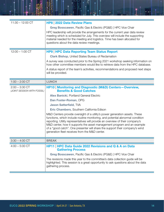| $11:30 - 12:00$ CT                              | HP8   2022 Data Review Plans                                                                                                                                                                                                                                                                                                                                                                                                                                |
|-------------------------------------------------|-------------------------------------------------------------------------------------------------------------------------------------------------------------------------------------------------------------------------------------------------------------------------------------------------------------------------------------------------------------------------------------------------------------------------------------------------------------|
|                                                 | Greg Bosscawen, Pacific Gas & Electric (PG&E)   HPC Vice Chair                                                                                                                                                                                                                                                                                                                                                                                              |
|                                                 | HPC leadership will provide the arrangements for the current year data review<br>meeting which is scheduled for July. This overview will include the supporting<br>material needed for the meeting and logistics. Time has been allocated for<br>questions about the data review meetings.                                                                                                                                                                  |
| $12:00 - 1:00$ CT                               | <b>HP9   HPC Data Reporting Team Status Report</b>                                                                                                                                                                                                                                                                                                                                                                                                          |
|                                                 | <b>Clark Bishop, United States Bureau of Reclamation</b>                                                                                                                                                                                                                                                                                                                                                                                                    |
|                                                 | A survey was conducted prior to the Spring 2021 workshop seeking information on<br>how other committee members would like to retrieve data from the HPC database.                                                                                                                                                                                                                                                                                           |
|                                                 | A status report of the team's activities, recommendations and proposed next steps<br>will be provided.                                                                                                                                                                                                                                                                                                                                                      |
| $1:00 - 2:00$ CT                                | <b>LUNCH</b>                                                                                                                                                                                                                                                                                                                                                                                                                                                |
| $2:00 - 3:30$ CT<br>(JOINT SESSION WITH FOSSIL) | <b>HP10   Monitoring and Diagnostic (M&amp;D) Centers-Overview,</b><br><b>Benefits &amp; Good Catches</b>                                                                                                                                                                                                                                                                                                                                                   |
|                                                 | Alex Banicki, Portland General Electric                                                                                                                                                                                                                                                                                                                                                                                                                     |
|                                                 | Dan Foster-Roman, OPG                                                                                                                                                                                                                                                                                                                                                                                                                                       |
|                                                 | <b>Jason Satterfield, TVA</b>                                                                                                                                                                                                                                                                                                                                                                                                                               |
|                                                 | Eric Chambers, Southern California Edison                                                                                                                                                                                                                                                                                                                                                                                                                   |
|                                                 | M&D Centers provide oversight of a utility's power generation assets. These<br>functions, which include routine monitoring, and potential abnormal condition<br>reporting. Utility representatives will provide an overview of their company's<br>M&D center, how it supports the asset management program and an example<br>of a "good catch". One presenter will share the support their company's wind<br>generation fleet receives from the M&D center. |
| $3:30 - 4:00$ CT                                | <b>BREAK</b>                                                                                                                                                                                                                                                                                                                                                                                                                                                |
| $4:00 - 5:00$ CT                                | HP11   HPC Data Guide 2022 Revisions and Q & A on Data<br><b>Gathering Process</b>                                                                                                                                                                                                                                                                                                                                                                          |
|                                                 | Greg Bosscawen, Pacific Gas & Electric (PG&E)   HPC Vice Chair                                                                                                                                                                                                                                                                                                                                                                                              |
|                                                 | The revisions made this year to the committee's data collection guide will be<br>highlighted. This session is a great opportunity to ask questions about the data<br>gathering process.                                                                                                                                                                                                                                                                     |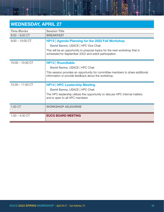| <b>WEDNESDAY, APRIL 27</b> |                                                                                                                                        |
|----------------------------|----------------------------------------------------------------------------------------------------------------------------------------|
| <b>Time Blocks</b>         | <b>Session Title</b>                                                                                                                   |
| $8:00 - 9:00$ CT           | <b>BREAKFAST</b>                                                                                                                       |
| $9:00 - 10:00$ CT          | HP12   Agenda Planning for the 2022 Fall Workshop                                                                                      |
|                            | David Sanna, USACE   HPC Vice Chair                                                                                                    |
|                            | This will be an opportunity to propose topics for the next workshop that is<br>scheduled for September 2022 and solicit participation. |
| $10:00 - 10:30$ CT         | <b>HP13   Roundtable</b>                                                                                                               |
|                            | David Sanna, USACE   HPC Chair                                                                                                         |
|                            | This session provides an opportunity for committee members to share additional<br>information or provide feedback about the workshop.  |
| $10:30 - 11:00$ CT         | <b>HP14   HPC Leadership Meeting</b>                                                                                                   |
|                            | David Sanna, USACE   HPC Chair                                                                                                         |
|                            | The HPC leadership utilizes this opportunity to discuss HPC internal matters<br>and is open to all HPC members.                        |
| 1:00 CT                    | <b>WORKSHOP ADJOURNS</b>                                                                                                               |
| $1:00 - 4:00$ CT           | <b>EUCG BOARD MEETING</b>                                                                                                              |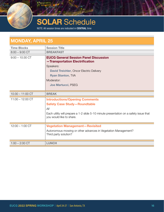

# **SOLAR Schedule**

NOTE: All session times are indicated in CENTRAL time

#### MONDAY, APRIL 25 Time Blocks Session Title 8:00 – 9:00 CT BREAKFAST 9:00 – 10:30 CT EUCG General Session Panel Discussion —Transportation Electrification Speakers: David Treichler, Oncor Electric Delivery Ryan Stanton, TVA Moderator: Joe Martucci, PSEG 10:30 – 11:00 CT **BREAK** 11:00 – 12:00 CT **Introductions/Opening Comments** Safety Case Study—Roundtable *All* Each utility will prepare a 1-2 slide 5-10 minute presentation on a safety issue that you would like to share. 12:00 – 1:00 CT Vegetation Management—Revisited Autonomous mowing or other advances in Vegetation Management? Third party solution? 1:00 – 2:00 CT **LUNCH**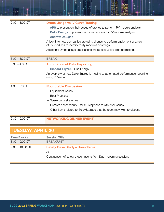| $2:00 - 3:00$ CT | <b>Drone Usage vs IV Curve Tracing</b>                                                                                           |
|------------------|----------------------------------------------------------------------------------------------------------------------------------|
|                  | APS to present on their usage of drones to perform PV module analysis                                                            |
|                  | <b>Duke Energy</b> to present on Drone process for PV module analysis                                                            |
|                  | <b>Andrew Douglas</b>                                                                                                            |
|                  | A look into how companies are using drones to perform equipment analysis<br>of PV modules to identify faulty modules or strings. |
|                  | Additional Drone usage applications will be discussed time permitting.                                                           |
| $3:00 - 3:30$ CT | <b>BREAK</b>                                                                                                                     |
| $3:30 - 4:30$ CT | <b>Automation of Data Reporting</b>                                                                                              |
|                  | <b>Richard Tilyard, Duke Energy</b>                                                                                              |
|                  | An overview of how Duke Energy is moving to automated performance reporting<br>using PI Vision.                                  |
| $4:30 - 5:30$ CT | <b>Roundtable Discussion</b>                                                                                                     |
|                  | - Equipment issues                                                                                                               |
|                  | - Best Practices                                                                                                                 |
|                  | - Spare parts strategies                                                                                                         |
|                  | - Remote accessability-for ST response to site level issues.                                                                     |
|                  | - Other items related to Solar/Storage that the team may wish to discuss                                                         |
| $6:30 - 9:00$ CT | <b>NETWORKING DINNER EVENT</b>                                                                                                   |

꼮

### TUESDAY, APRIL 26

| <b>Time Blocks</b> | <b>Session Title</b>                                                                                           |
|--------------------|----------------------------------------------------------------------------------------------------------------|
| $8:00 - 9:00$ CT   | <b>BREAKFAST</b>                                                                                               |
| $9:00 - 10:00$ CT  | <b>Safety Case Study-Roundtable</b><br>All<br>Continuation of safety presentations from Day 1 opening session. |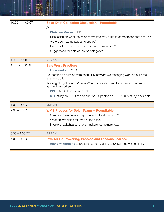| $10:00 - 11:00$ CT | <b>Solar Data Collection Discussion-Roundtable</b>                                                     |
|--------------------|--------------------------------------------------------------------------------------------------------|
|                    | All                                                                                                    |
|                    | <b>Christine Messer, TBD</b>                                                                           |
|                    | - Discussion on what the solar committee would like to compare for data analysis.                      |
|                    | - Are we comparing apples to apples?                                                                   |
|                    | - How would we like to receive the data comparison?                                                    |
|                    | - Suggestions for data collection catagories.                                                          |
|                    |                                                                                                        |
| $11:00 - 11:30$ CT | <b>BREAK</b>                                                                                           |
| $11:30 - 1:00$ CT  | <b>Safe Work Practices</b>                                                                             |
|                    | Lone worker, LOTO                                                                                      |
|                    | Roundtable discussion from each utlity how are we managing work on our sites,<br>energy isolation.     |
|                    | Working at night benefits/risks? What is eveyone using to determine lone work<br>vs. multiple workers. |
|                    | <b>PPE-ARC</b> Flash requirements.                                                                     |
|                    | <b>DTE</b> study on ARC flash calculation - Updates on EPRI 1500v study if available.                  |
| $1:00 - 2:00$ CT   | <b>LUNCH</b>                                                                                           |
| $2:00 - 3:30$ CT   | <b>WMS Process for Solar Teams-Roundtable</b>                                                          |
|                    | - Solar site maintenance requirements-Best practices?                                                  |
|                    | - What are we doing for PM's at the sites?                                                             |
|                    | - Inverters, switchyard, Arrays, trackers, combiners, etc.                                             |
|                    |                                                                                                        |
| $3:30 - 4:00$ CT   | <b>BREAK</b>                                                                                           |
| $4:00 - 5:30$ CT   | <b>Inverter Re-Powering, Process and Lessons Learned</b>                                               |
|                    | Anthony Morabito to present, currently doing a 500kw repowering effort.                                |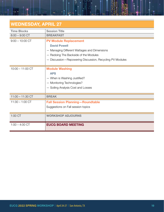#### WEDNESDAY, APRIL 27 Time Blocks Session Title 8:00 – 9:00 CT **BREAKFAST** 9:00 – 10:00 CT **PV Module Replacement** David Powell

| $1:00 - 4:00$ CT   | <b>EUCG BOARD MEETING</b>                                                                                                                         |
|--------------------|---------------------------------------------------------------------------------------------------------------------------------------------------|
| 1:00 CT            | <b>WORKSHOP ADJOURNS</b>                                                                                                                          |
| $11:30 - 1:00$ CT  | <b>Fall Session Planning-Roundtable</b><br>Suggestions on Fall session topics                                                                     |
| $11:00 - 11:30$ CT | <b>BREAK</b>                                                                                                                                      |
| $10:00 - 11:00$ CT | <b>Module Washing</b><br><b>APS</b><br>- When is Washing Justified?<br>- Monitoring Technologies?<br>- Soiling Analysis Cost and Losses           |
|                    | - Managing Different Wattages and Dimensions<br>- Redoing The Backside of the Modules<br>- Discussion-Repowering Discussion, Recycling PV Modules |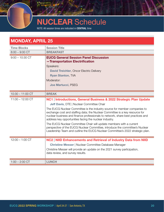# JCLEAR Schedule

NOTE: All session times are indicated in CENTRAL time

#### MONDAY, APRIL 25 Time Blocks Session Title 8:00 – 9:00 CT **BREAKFAST** 9:00 – 10:30 CT EUCG General Session Panel Discussion —Transportation Electrification Speakers: David Treichler, Oncor Electric Delivery Ryan Stanton, TVA Moderator: Joe Martucci, PSEG 10:30 – 11:00 CT BREAK 11:00 – 12:00 CT NC1 | Introductions, General Business & 2022 Strategic Plan Update Jeff Davis, DTE | Nuclear Committee Chair The EUCG Nuclear Committee is the industry source for member companies to exchange cost and staffing data; the Nuclear Committee is a key resource for nuclear business and finance professionals to network, share best practices and address key opportunities facing the nuclear industry. The EUCG Nuclear Committee Chair will update members with a current perspective of the EUCG Nuclear Committee, introduce the committee's Nuclear Leadership Team and outline the EUCG Nuclear Committee's 2022 strategic plan. 12:00 – 1:00 CT **NG2 | NID Enhancements and Retrieval of Industry Data from NIID** Christine Messer | Nuclear Committee Database Manager Christine Messer will provide an update on the 2021 survey participation, data review, and survey results. 1:00 – 2:00 CT LUNCH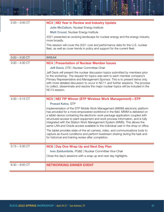| $2:00 - 3:00$ CT | <b>NC3   NEI Year in Review and Industry Update</b>                                                                                                                                                                                                                                                                                                                                                                                                                                                  |
|------------------|------------------------------------------------------------------------------------------------------------------------------------------------------------------------------------------------------------------------------------------------------------------------------------------------------------------------------------------------------------------------------------------------------------------------------------------------------------------------------------------------------|
|                  | Julie McCallum, Nuclear Energy Institute                                                                                                                                                                                                                                                                                                                                                                                                                                                             |
|                  | <b>Matt Crozat, Nuclear Energy Institute</b>                                                                                                                                                                                                                                                                                                                                                                                                                                                         |
|                  | 2021 presented an evolving landscape for nuclear energy and the energy industry<br>more broadly.                                                                                                                                                                                                                                                                                                                                                                                                     |
|                  | This session will cover the 2021 cost and performance data for the U.S. nuclear<br>fleet, as well as cover trends in policy and support for the current fleet.                                                                                                                                                                                                                                                                                                                                       |
| $3:00 - 3:30$ CT | <b>BREAK</b>                                                                                                                                                                                                                                                                                                                                                                                                                                                                                         |
| $3:30 - 4:30$ CT | <b>NC4   Presentation of Nuclear Member Issues</b>                                                                                                                                                                                                                                                                                                                                                                                                                                                   |
|                  | <b>Jeff Davis, DTE   Nuclear Committee Chair</b>                                                                                                                                                                                                                                                                                                                                                                                                                                                     |
|                  | Jeff Davis will present the nuclear discussion topics submitted by members prior<br>to the workshop. The request for topics was sent to each member company's<br>Primary Representative and Management Sponsor. This is to present items only,<br>with more detailed discussion to occur in NC11 and further sessions. The process<br>to collect, disseminate and resolve the major nuclear topics will be included in the<br>NC13 session.                                                          |
|                  |                                                                                                                                                                                                                                                                                                                                                                                                                                                                                                      |
| $4:30 - 5:15$ CT | <b>NC5   NEI TIP Winner (STP Wireless Work Management)-STP</b>                                                                                                                                                                                                                                                                                                                                                                                                                                       |
|                  | <b>Prasad Kalva, STP</b>                                                                                                                                                                                                                                                                                                                                                                                                                                                                             |
|                  | Implementation of the STP Mobile Work Management (MWM) electronic platform<br>has provided for a more empowered workforce in the field. MWM is delivered on<br>a tablet device containing the electronic work package application coupled with<br>structured access to plant equipment and work process information, and is fully<br>integrated with the Station Work Management System (WMS). This allows the<br>same LAN and Oracle access available to the individual user in the shop or office. |
|                  | The tablet provides state-of-the art camera, video, and communications tools to<br>capture as-found conditions and perform livestream sharing during the task and<br>for historical and training review after completion.                                                                                                                                                                                                                                                                            |
| $5:15 - 5:30$ CT | NC6   Day One Wrap Up and Next Day Plan                                                                                                                                                                                                                                                                                                                                                                                                                                                              |
|                  | Ives Zaldumbide, PG&E   Nuclear Committee Vice-Chair                                                                                                                                                                                                                                                                                                                                                                                                                                                 |
|                  | Close the day's sessions with a wrap up and next day highlights.                                                                                                                                                                                                                                                                                                                                                                                                                                     |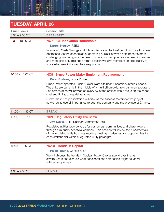### TUESDAY, APRIL 26

| <b>Time Blocks</b> | <b>Session Title</b>                                                                                                                                                                                                                                                                                              |
|--------------------|-------------------------------------------------------------------------------------------------------------------------------------------------------------------------------------------------------------------------------------------------------------------------------------------------------------------|
| $8:00 - 9:00$ CT   | <b>BREAKFAST</b>                                                                                                                                                                                                                                                                                                  |
| $9:00 - 10:00$ CT  | <b>NC7   ICE Innovation Roundtable</b><br><b>Darrell Negley, PSEG</b><br>Innovation, Costs Savings and Efficiencies are at the forefront of our daily business                                                                                                                                                    |
|                    | operations. As the economics of operating nuclear power plants become more<br>challenging, we recognize the need to share our best practices in being innovative<br>and more efficient. This open forum session will give members an opportunity to<br>share what new initiatives they are pursuing.              |
| $10:00 - 11:00$ CT | <b>NC8   Bruce Power Major Equipment Replacement</b>                                                                                                                                                                                                                                                              |
|                    | Peter Risteen, Bruce Power                                                                                                                                                                                                                                                                                        |
|                    | Bruce Power operates 8 unit Nuclear plant site near KincardineOntario Canada.<br>The units are currently in the middle of a multi billion dollar refurbishment program.<br>The presentation will provide an overview of the project with a focus on the scope,<br>cost and timing of key deliverables.            |
|                    | Furthermore, the presentation will discuss the success factors for the project<br>as well as its overall importance to both the company and the province of Ontario.                                                                                                                                              |
| $11:00 - 11:30$ CT | <b>BREAK</b>                                                                                                                                                                                                                                                                                                      |
| $11:30 - 12:15$ CT | <b>NC9   Regulatory Utility Overview</b>                                                                                                                                                                                                                                                                          |
|                    | <b>Jeff Davis, DTE   Nuclear Committee Chair</b>                                                                                                                                                                                                                                                                  |
|                    | Regulated utilities provide value for customers, communities and shareholders<br>through a mutually beneficial compact. This session will review the fundamentals<br>of the regulated utility business model as well as challenges and opportunities for<br>each stakeholder within a regulated utility paradigm. |
| $12:15 - 1:00$ CT  | <b>NC10</b> Trends in Capital                                                                                                                                                                                                                                                                                     |
|                    | Phillip Young, Constellation                                                                                                                                                                                                                                                                                      |
|                    | We will discuss the trends in Nuclear Power Capital spend over the last<br>several years and discuss what considerations companies might be faced<br>with moving forward.                                                                                                                                         |
| $1:00 - 2:00$ CT   | <b>LUNCH</b>                                                                                                                                                                                                                                                                                                      |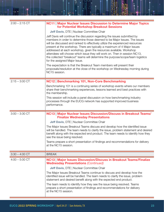| $2:00 - 2:15$ CT | <b>NC11   Major Nuclear Issues Discussion to Determine Major Topics</b><br>for Potential Workshop Breakout Sessions                                                                                                                                                                                                                                                                                                                                                                                                                                                                         |
|------------------|---------------------------------------------------------------------------------------------------------------------------------------------------------------------------------------------------------------------------------------------------------------------------------------------------------------------------------------------------------------------------------------------------------------------------------------------------------------------------------------------------------------------------------------------------------------------------------------------|
|                  | Jeff Davis, DTE   Nuclear Committee Chair                                                                                                                                                                                                                                                                                                                                                                                                                                                                                                                                                   |
|                  | Jeff Davis will continue the discussion regarding the issues submitted by<br>members in order to determine those deemed to be Major Issues. The issues<br>will be discussed and ranked to effectively utilize the experienced resources<br>present at the workshop. There are typically a maximum of 4 Major Issues<br>addressed at each workshop, given the resources available. Workshop<br>attendees will choose which issue they will work on. Then in session NC13,<br>the collected "breakout" teams will determine the purpose/scope/team logistics<br>for the assigned Major Issue. |
|                  | The expectation is that the Breakout Team members will present their<br>proposals/resolution at the close of the workshop on Wednesday morning during<br>NC15 session.                                                                                                                                                                                                                                                                                                                                                                                                                      |
| $2:15 - 3:00$ CT | NC12   Benchmarking 101, Non-Core Benchmarking                                                                                                                                                                                                                                                                                                                                                                                                                                                                                                                                              |
|                  | Benchmarking 101 is a continuing series of workshop events where our members<br>share their benchmarking experiences, lessons learned and best practices with<br>the membership.                                                                                                                                                                                                                                                                                                                                                                                                            |
|                  | This session will include a panel discussion on how benchmarking industry<br>processes through the EUCG network has supported improved business<br>performance.                                                                                                                                                                                                                                                                                                                                                                                                                             |
| $3:00 - 3:30$ CT | NC13   Major Nuclear Issues Discussion/Discuss in Breakout Teams/<br><b>Finalize Wednesday Presentations</b>                                                                                                                                                                                                                                                                                                                                                                                                                                                                                |
|                  | Jeff Davis, DTE   Nuclear Committee Chair                                                                                                                                                                                                                                                                                                                                                                                                                                                                                                                                                   |
|                  | The Major Issues Breakout Teams discuss and develop how the identified issue<br>will be handled. The team needs to clarify the issue, problem statement and desired<br>benefit along with the expected end product. The team needs to identify how they<br>see the issue being resolved.                                                                                                                                                                                                                                                                                                    |
|                  | Teams prepare a short presentation of findings and recommendations for delivery<br>at the NC15 session.                                                                                                                                                                                                                                                                                                                                                                                                                                                                                     |
| $3:30 - 4:00$ CT | <b>BREAK</b>                                                                                                                                                                                                                                                                                                                                                                                                                                                                                                                                                                                |
| $4:00 - 5:00$ CT | <b>NC13   Major Issues Discussion/Discuss in Breakout Teams/Finalize</b><br><b>Wednesday Presentations (Continued)</b>                                                                                                                                                                                                                                                                                                                                                                                                                                                                      |
|                  | Jeff Davis, DTE   Nuclear Committee Chair                                                                                                                                                                                                                                                                                                                                                                                                                                                                                                                                                   |
|                  | The Major Issues Breakout Teams continue to discuss and develop how the<br>identified issue will be handled. The team needs to clarify the issue, problem<br>statement and desired benefit along with the expected end product.                                                                                                                                                                                                                                                                                                                                                             |
|                  | The team needs to identify how they see the issue being resolved. Teams<br>prepare a short presentation of findings and recommendations for delivery<br>at the NC15 session.                                                                                                                                                                                                                                                                                                                                                                                                                |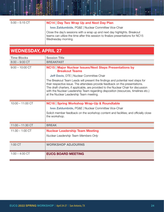#### 5:00 – 5:15 CT NC14 | Day Two Wrap Up and Next Day Plan

Ives Zaldumbide, PG&E | Nuclear Committee Vice-Chair

Close the day's sessions with a wrap up and next day highlights. Breakout teams can utilize the time after this session to finalize presentations for NC15 Wednesday morning.

#### WEDNESDAY, APRIL 27

| <b>Time Blocks</b> | <b>Session Title</b>                                                                                                                                                                                                                                                                                                                                                                   |
|--------------------|----------------------------------------------------------------------------------------------------------------------------------------------------------------------------------------------------------------------------------------------------------------------------------------------------------------------------------------------------------------------------------------|
| $8:00 - 9:00$ CT   | <b>BREAKFAST</b>                                                                                                                                                                                                                                                                                                                                                                       |
| $9:00 - 10:00$ CT  | <b>NC15   Major Nuclear Issues/Next Steps Presentations by</b><br><b>Breakout Teams</b>                                                                                                                                                                                                                                                                                                |
|                    | Jeff Davis, DTE   Nuclear Committee Chair                                                                                                                                                                                                                                                                                                                                              |
|                    | The Breakout Team Leads will present the findings and potential next steps for<br>their respective issue. The attendees provide feedback on the presentations.<br>The draft charters, if applicable, are provided to the Nuclear Chair for discussion<br>with the Nuclear Leadership Team regarding disposition (resources, timelines etc.)<br>at the Nuclear Leadership Team meeting. |
| $10:00 - 11:00$ CT | NC16   Spring Workshop Wrap-Up & Roundtable                                                                                                                                                                                                                                                                                                                                            |
|                    | Ives Zaldumbide, PG&E   Nuclear Committee Vice-Chair                                                                                                                                                                                                                                                                                                                                   |
|                    | Solicit member feedback on the workshop content and facilities; and officially close<br>the workshop.                                                                                                                                                                                                                                                                                  |
| $11:00 - 11:30$ CT | <b>BREAK</b>                                                                                                                                                                                                                                                                                                                                                                           |
| $11:30 - 1:00$ CT  | <b>Nuclear Leadership Team Meeting</b>                                                                                                                                                                                                                                                                                                                                                 |
|                    | Nuclear Leadership Team Members Only                                                                                                                                                                                                                                                                                                                                                   |
| 1:00 CT            | <b>WORKSHOP ADJOURNS</b>                                                                                                                                                                                                                                                                                                                                                               |
| $1:00 - 4:00$ CT   | <b>EUCG BOARD MEETING</b>                                                                                                                                                                                                                                                                                                                                                              |